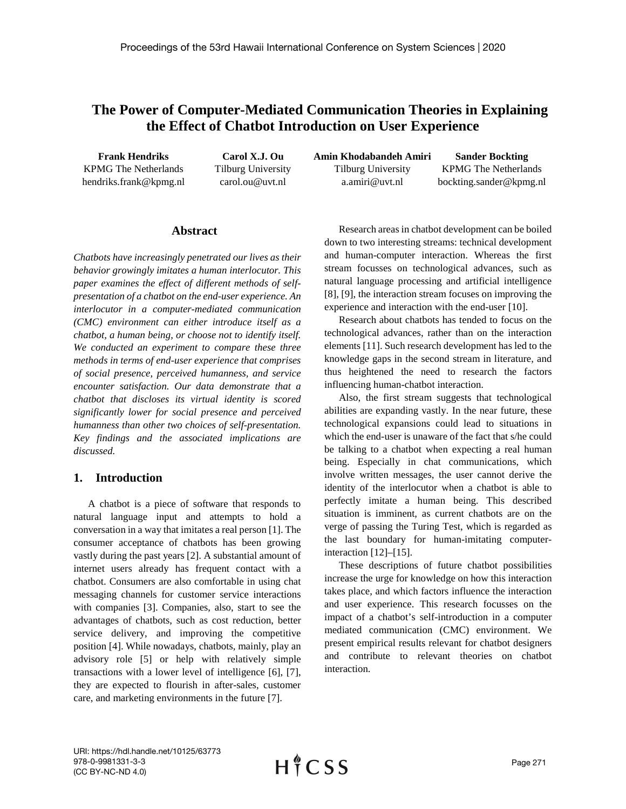# **The Power of Computer-Mediated Communication Theories in Explaining the Effect of Chatbot Introduction on User Experience**

**Frank Hendriks** KPMG The Netherlands hendriks.frank@kpmg.nl

**Carol X.J. Ou** Tilburg University carol.ou@uvt.nl

**Amin Khodabandeh Amiri** Tilburg University a.amiri@uvt.nl **Sander Bockting** KPMG The Netherlands bockting.sander@kpmg.nl

### **Abstract**

*Chatbots have increasingly penetrated our lives as their behavior growingly imitates a human interlocutor. This paper examines the effect of different methods of selfpresentation of a chatbot on the end-user experience. An interlocutor in a computer-mediated communication (CMC) environment can either introduce itself as a chatbot, a human being, or choose not to identify itself. We conducted an experiment to compare these three methods in terms of end-user experience that comprises of social presence, perceived humanness, and service encounter satisfaction. Our data demonstrate that a chatbot that discloses its virtual identity is scored significantly lower for social presence and perceived humanness than other two choices of self-presentation. Key findings and the associated implications are discussed.* 

# **1. Introduction**

A chatbot is a piece of software that responds to natural language input and attempts to hold a conversation in a way that imitates a real person [1]. The consumer acceptance of chatbots has been growing vastly during the past years [2]. A substantial amount of internet users already has frequent contact with a chatbot. Consumers are also comfortable in using chat messaging channels for customer service interactions with companies [3]. Companies, also, start to see the advantages of chatbots, such as cost reduction, better service delivery, and improving the competitive position [4]. While nowadays, chatbots, mainly, play an advisory role [5] or help with relatively simple transactions with a lower level of intelligence [6], [7], they are expected to flourish in after-sales, customer care, and marketing environments in the future [7].

Research areas in chatbot development can be boiled down to two interesting streams: technical development and human-computer interaction. Whereas the first stream focusses on technological advances, such as natural language processing and artificial intelligence [8], [9], the interaction stream focuses on improving the experience and interaction with the end-user [10].

Research about chatbots has tended to focus on the technological advances, rather than on the interaction elements [11]. Such research development has led to the knowledge gaps in the second stream in literature, and thus heightened the need to research the factors influencing human-chatbot interaction.

Also, the first stream suggests that technological abilities are expanding vastly. In the near future, these technological expansions could lead to situations in which the end-user is unaware of the fact that s/he could be talking to a chatbot when expecting a real human being. Especially in chat communications, which involve written messages, the user cannot derive the identity of the interlocutor when a chatbot is able to perfectly imitate a human being. This described situation is imminent, as current chatbots are on the verge of passing the Turing Test, which is regarded as the last boundary for human-imitating computerinteraction [12]–[15].

These descriptions of future chatbot possibilities increase the urge for knowledge on how this interaction takes place, and which factors influence the interaction and user experience. This research focusses on the impact of a chatbot's self-introduction in a computer mediated communication (CMC) environment. We present empirical results relevant for chatbot designers and contribute to relevant theories on chatbot interaction.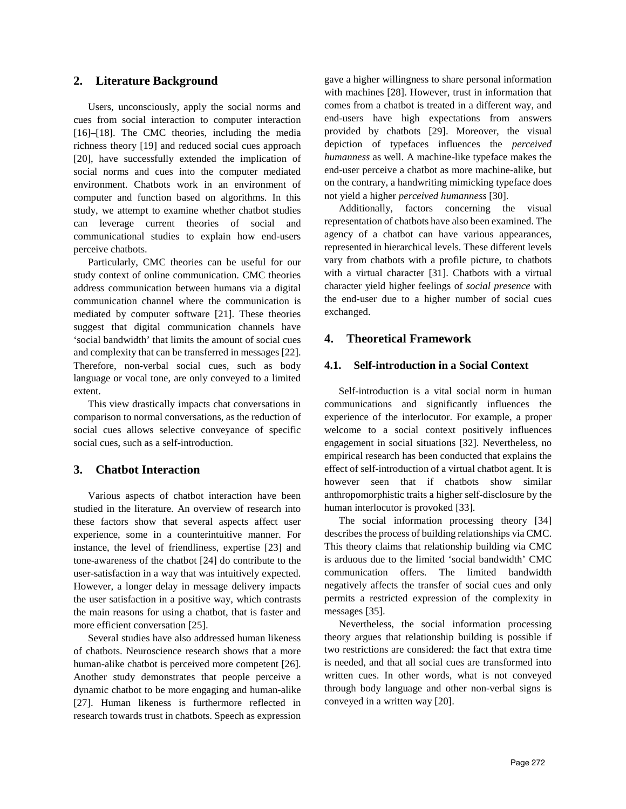# **2. Literature Background**

Users, unconsciously, apply the social norms and cues from social interaction to computer interaction [16]–[18]. The CMC theories, including the media richness theory [19] and reduced social cues approach [20], have successfully extended the implication of social norms and cues into the computer mediated environment. Chatbots work in an environment of computer and function based on algorithms. In this study, we attempt to examine whether chatbot studies can leverage current theories of social and communicational studies to explain how end-users perceive chatbots.

Particularly, CMC theories can be useful for our study context of online communication. CMC theories address communication between humans via a digital communication channel where the communication is mediated by computer software [21]. These theories suggest that digital communication channels have 'social bandwidth' that limits the amount of social cues and complexity that can be transferred in messages [22]. Therefore, non-verbal social cues, such as body language or vocal tone, are only conveyed to a limited extent.

This view drastically impacts chat conversations in comparison to normal conversations, as the reduction of social cues allows selective conveyance of specific social cues, such as a self-introduction.

# **3. Chatbot Interaction**

Various aspects of chatbot interaction have been studied in the literature. An overview of research into these factors show that several aspects affect user experience, some in a counterintuitive manner. For instance, the level of friendliness, expertise [23] and tone-awareness of the chatbot [24] do contribute to the user-satisfaction in a way that was intuitively expected. However, a longer delay in message delivery impacts the user satisfaction in a positive way, which contrasts the main reasons for using a chatbot, that is faster and more efficient conversation [25].

Several studies have also addressed human likeness of chatbots. Neuroscience research shows that a more human-alike chatbot is perceived more competent [26]. Another study demonstrates that people perceive a dynamic chatbot to be more engaging and human-alike [27]. Human likeness is furthermore reflected in research towards trust in chatbots. Speech as expression

gave a higher willingness to share personal information with machines [28]. However, trust in information that comes from a chatbot is treated in a different way, and end-users have high expectations from answers provided by chatbots [29]. Moreover, the visual depiction of typefaces influences the *perceived humanness* as well. A machine-like typeface makes the end-user perceive a chatbot as more machine-alike, but on the contrary, a handwriting mimicking typeface does not yield a higher *perceived humanness* [30].

Additionally, factors concerning the visual representation of chatbots have also been examined. The agency of a chatbot can have various appearances, represented in hierarchical levels. These different levels vary from chatbots with a profile picture, to chatbots with a virtual character [31]. Chatbots with a virtual character yield higher feelings of *social presence* with the end-user due to a higher number of social cues exchanged.

## **4. Theoretical Framework**

# **4.1. Self-introduction in a Social Context**

Self-introduction is a vital social norm in human communications and significantly influences the experience of the interlocutor. For example, a proper welcome to a social context positively influences engagement in social situations [32]. Nevertheless, no empirical research has been conducted that explains the effect of self-introduction of a virtual chatbot agent. It is however seen that if chatbots show similar anthropomorphistic traits a higher self-disclosure by the human interlocutor is provoked [33].

The social information processing theory [34] describes the process of building relationships via CMC. This theory claims that relationship building via CMC is arduous due to the limited 'social bandwidth' CMC communication offers. The limited bandwidth negatively affects the transfer of social cues and only permits a restricted expression of the complexity in messages [35].

Nevertheless, the social information processing theory argues that relationship building is possible if two restrictions are considered: the fact that extra time is needed, and that all social cues are transformed into written cues. In other words, what is not conveyed through body language and other non-verbal signs is conveyed in a written way [20].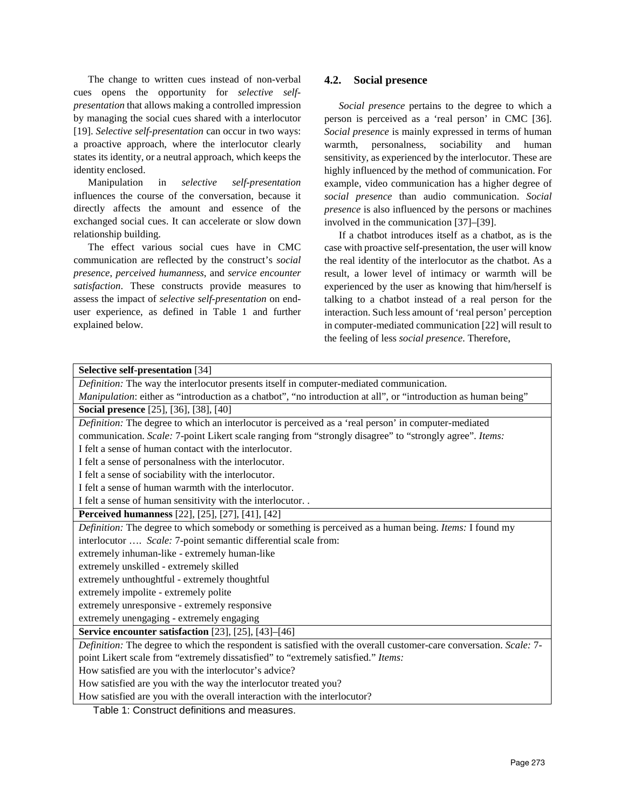The change to written cues instead of non-verbal cues opens the opportunity for *selective selfpresentation* that allows making a controlled impression by managing the social cues shared with a interlocutor [19]. *Selective self-presentation* can occur in two ways: a proactive approach, where the interlocutor clearly states its identity, or a neutral approach, which keeps the identity enclosed.

Manipulation in *selective self-presentation* influences the course of the conversation, because it directly affects the amount and essence of the exchanged social cues. It can accelerate or slow down relationship building.

The effect various social cues have in CMC communication are reflected by the construct's *social presence*, *perceived humanness*, and *service encounter satisfaction*. These constructs provide measures to assess the impact of *selective self-presentation* on enduser experience, as defined in Table 1 and further explained below.

# **4.2. Social presence**

*Social presence* pertains to the degree to which a person is perceived as a 'real person' in CMC [36]. *Social presence* is mainly expressed in terms of human warmth, personalness, sociability and human sensitivity, as experienced by the interlocutor. These are highly influenced by the method of communication. For example, video communication has a higher degree of *social presence* than audio communication. *Social presence* is also influenced by the persons or machines involved in the communication [37]–[39].

If a chatbot introduces itself as a chatbot, as is the case with proactive self-presentation, the user will know the real identity of the interlocutor as the chatbot. As a result, a lower level of intimacy or warmth will be experienced by the user as knowing that him/herself is talking to a chatbot instead of a real person for the interaction. Such less amount of 'real person' perception in computer-mediated communication [22] will result to the feeling of less *social presence*. Therefore,

|  | <b>Selective self-presentation</b> [34]                                                                                                                                                                     |  |  |  |  |  |  |
|--|-------------------------------------------------------------------------------------------------------------------------------------------------------------------------------------------------------------|--|--|--|--|--|--|
|  | Definition: The way the interlocutor presents itself in computer-mediated communication.<br>Manipulation: either as "introduction as a chatbot", "no introduction at all", or "introduction as human being" |  |  |  |  |  |  |
|  |                                                                                                                                                                                                             |  |  |  |  |  |  |
|  | <b>Social presence</b> [25], [36], [38], [40]                                                                                                                                                               |  |  |  |  |  |  |
|  | Definition: The degree to which an interlocutor is perceived as a 'real person' in computer-mediated                                                                                                        |  |  |  |  |  |  |
|  | communication. Scale: 7-point Likert scale ranging from "strongly disagree" to "strongly agree". Items:                                                                                                     |  |  |  |  |  |  |
|  | I felt a sense of human contact with the interlocutor.                                                                                                                                                      |  |  |  |  |  |  |
|  | I felt a sense of personalness with the interlocutor.                                                                                                                                                       |  |  |  |  |  |  |
|  | I felt a sense of sociability with the interlocutor.                                                                                                                                                        |  |  |  |  |  |  |
|  | I felt a sense of human warmth with the interlocutor.                                                                                                                                                       |  |  |  |  |  |  |
|  | I felt a sense of human sensitivity with the interlocutor. .                                                                                                                                                |  |  |  |  |  |  |
|  | <b>Perceived humanness</b> [22], [25], [27], [41], [42]                                                                                                                                                     |  |  |  |  |  |  |
|  | Definition: The degree to which somebody or something is perceived as a human being. Items: I found my                                                                                                      |  |  |  |  |  |  |
|  | interlocutor  Scale: 7-point semantic differential scale from:                                                                                                                                              |  |  |  |  |  |  |
|  | extremely inhuman-like - extremely human-like                                                                                                                                                               |  |  |  |  |  |  |
|  | extremely unskilled - extremely skilled                                                                                                                                                                     |  |  |  |  |  |  |
|  | extremely unthoughtful - extremely thoughtful                                                                                                                                                               |  |  |  |  |  |  |
|  | extremely impolite - extremely polite                                                                                                                                                                       |  |  |  |  |  |  |
|  | extremely unresponsive - extremely responsive                                                                                                                                                               |  |  |  |  |  |  |
|  | extremely unengaging - extremely engaging                                                                                                                                                                   |  |  |  |  |  |  |
|  | Service encounter satisfaction [23], [25], [43]-[46]                                                                                                                                                        |  |  |  |  |  |  |
|  | Definition: The degree to which the respondent is satisfied with the overall customer-care conversation. Scale: 7-                                                                                          |  |  |  |  |  |  |
|  | point Likert scale from "extremely dissatisfied" to "extremely satisfied." Items:                                                                                                                           |  |  |  |  |  |  |
|  | How satisfied are you with the interlocutor's advice?                                                                                                                                                       |  |  |  |  |  |  |
|  | How satisfied are you with the way the interlocutor treated you?                                                                                                                                            |  |  |  |  |  |  |
|  | How satisfied are you with the overall interaction with the interlocutor?                                                                                                                                   |  |  |  |  |  |  |

Table 1: Construct definitions and measures.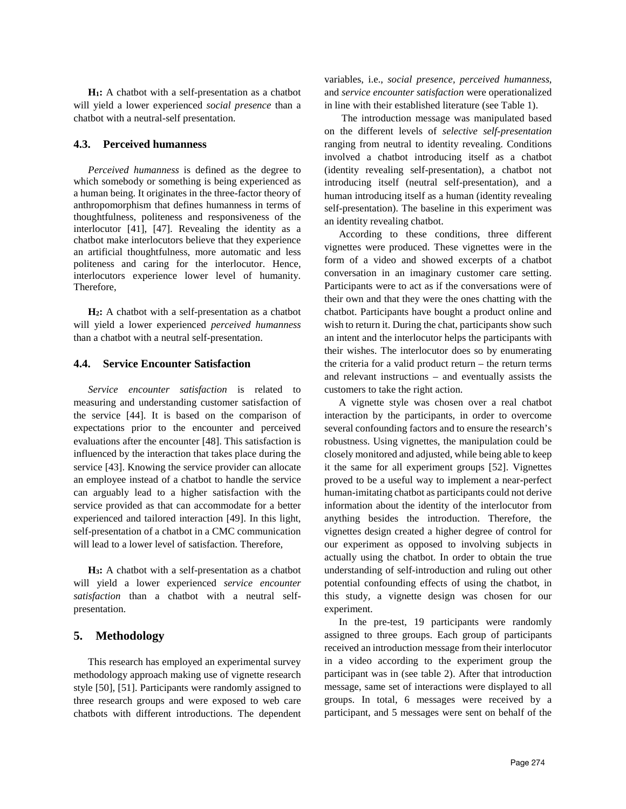**H1:** A chatbot with a self-presentation as a chatbot will yield a lower experienced *social presence* than a chatbot with a neutral-self presentation.

#### **4.3. Perceived humanness**

*Perceived humanness* is defined as the degree to which somebody or something is being experienced as a human being. It originates in the three-factor theory of anthropomorphism that defines humanness in terms of thoughtfulness, politeness and responsiveness of the interlocutor [41], [47]. Revealing the identity as a chatbot make interlocutors believe that they experience an artificial thoughtfulness, more automatic and less politeness and caring for the interlocutor. Hence, interlocutors experience lower level of humanity. Therefore,

**H2:** A chatbot with a self-presentation as a chatbot will yield a lower experienced *perceived humanness* than a chatbot with a neutral self-presentation.

#### **4.4. Service Encounter Satisfaction**

*Service encounter satisfaction* is related to measuring and understanding customer satisfaction of the service [44]. It is based on the comparison of expectations prior to the encounter and perceived evaluations after the encounter [48]. This satisfaction is influenced by the interaction that takes place during the service [43]. Knowing the service provider can allocate an employee instead of a chatbot to handle the service can arguably lead to a higher satisfaction with the service provided as that can accommodate for a better experienced and tailored interaction [49]. In this light, self-presentation of a chatbot in a CMC communication will lead to a lower level of satisfaction. Therefore,

**H3:** A chatbot with a self-presentation as a chatbot will yield a lower experienced *service encounter satisfaction* than a chatbot with a neutral selfpresentation.

## **5. Methodology**

This research has employed an experimental survey methodology approach making use of vignette research style [50], [51]. Participants were randomly assigned to three research groups and were exposed to web care chatbots with different introductions. The dependent

variables, i.e., *social presence, perceived humanness*, and *service encounter satisfaction* were operationalized in line with their established literature (see Table 1).

The introduction message was manipulated based on the different levels of *selective self-presentation* ranging from neutral to identity revealing. Conditions involved a chatbot introducing itself as a chatbot (identity revealing self-presentation), a chatbot not introducing itself (neutral self-presentation), and a human introducing itself as a human (identity revealing self-presentation). The baseline in this experiment was an identity revealing chatbot.

According to these conditions, three different vignettes were produced. These vignettes were in the form of a video and showed excerpts of a chatbot conversation in an imaginary customer care setting. Participants were to act as if the conversations were of their own and that they were the ones chatting with the chatbot. Participants have bought a product online and wish to return it. During the chat, participants show such an intent and the interlocutor helps the participants with their wishes. The interlocutor does so by enumerating the criteria for a valid product return – the return terms and relevant instructions – and eventually assists the customers to take the right action.

A vignette style was chosen over a real chatbot interaction by the participants, in order to overcome several confounding factors and to ensure the research's robustness. Using vignettes, the manipulation could be closely monitored and adjusted, while being able to keep it the same for all experiment groups [52]. Vignettes proved to be a useful way to implement a near-perfect human-imitating chatbot as participants could not derive information about the identity of the interlocutor from anything besides the introduction. Therefore, the vignettes design created a higher degree of control for our experiment as opposed to involving subjects in actually using the chatbot. In order to obtain the true understanding of self-introduction and ruling out other potential confounding effects of using the chatbot, in this study, a vignette design was chosen for our experiment.

In the pre-test, 19 participants were randomly assigned to three groups. Each group of participants received an introduction message from their interlocutor in a video according to the experiment group the participant was in (see table 2). After that introduction message, same set of interactions were displayed to all groups. In total, 6 messages were received by a participant, and 5 messages were sent on behalf of the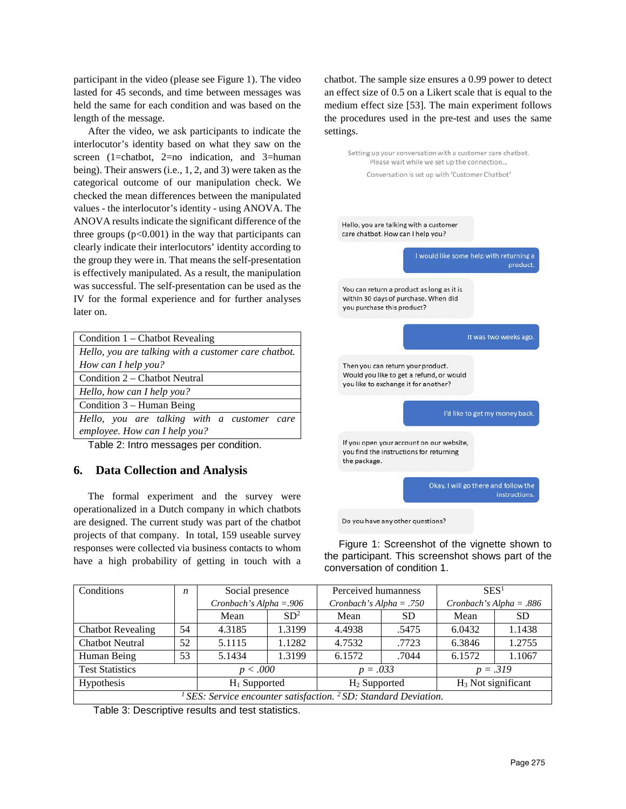participant in the video (please see Figure 1). The video lasted for 45 seconds, and time between messages was held the same for each condition and was based on the length of the message.

After the video, we ask participants to indicate the interlocutor's identity based on what they saw on the screen (1=chatbot, 2=no indication, and 3=human being). Their answers (i.e., 1, 2, and 3) were taken as the categorical outcome of our manipulation check. We checked the mean differences between the manipulated values - the interlocutor's identity - using ANOVA. The ANOVA results indicate the significant difference of the three groups  $(p<0.001)$  in the way that participants can clearly indicate their interlocutors' identity according to the group they were in. That means the self-presentation is effectively manipulated. As a result, the manipulation was successful. The self-presentation can be used as the IV for the formal experience and for further analyses later on.

| Condition $1$ – Chatbot Revealing                    |  |  |  |  |  |  |  |
|------------------------------------------------------|--|--|--|--|--|--|--|
| Hello, you are talking with a customer care chatbot. |  |  |  |  |  |  |  |
| How can I help you?                                  |  |  |  |  |  |  |  |
| Condition 2 – Chatbot Neutral                        |  |  |  |  |  |  |  |
| Hello, how can I help you?                           |  |  |  |  |  |  |  |
| Condition $3$ – Human Being                          |  |  |  |  |  |  |  |
| Hello, you are talking with a customer care          |  |  |  |  |  |  |  |
| employee. How can I help you?                        |  |  |  |  |  |  |  |
| Table 2: Intro messages per condition.               |  |  |  |  |  |  |  |

# **6. Data Collection and Analysis**

The formal experiment and the survey were operationalized in a Dutch company in which chatbots are designed. The current study was part of the chatbot projects of that company. In total, 159 useable survey responses were collected via business contacts to whom have a high probability of getting in touch with a chatbot. The sample size ensures a 0.99 power to detect an effect size of 0.5 on a Likert scale that is equal to the medium effect size [53]. The main experiment follows the procedures used in the pre-test and uses the same settings.



Do you have any other questions?

Figure 1: Screenshot of the vignette shown to the participant. This screenshot shows part of the conversation of condition 1.

| Conditions                                                                | $\boldsymbol{n}$ | Social presence           |                 | Perceived humanness       |           | SES <sup>1</sup>          |           |  |
|---------------------------------------------------------------------------|------------------|---------------------------|-----------------|---------------------------|-----------|---------------------------|-----------|--|
|                                                                           |                  | Cronbach's Alpha = $.906$ |                 | Cronbach's Alpha = $.750$ |           | Cronbach's Alpha = $.886$ |           |  |
|                                                                           |                  | Mean                      | SD <sup>2</sup> | Mean                      | <b>SD</b> | Mean                      | <b>SD</b> |  |
| <b>Chatbot Revealing</b>                                                  | 54               | 4.3185                    | 1.3199          | 4.4938                    | .5475     | 6.0432                    | 1.1438    |  |
| <b>Chatbot Neutral</b>                                                    | 52               | 5.1115                    | 1.1282          | 4.7532                    | .7723     | 6.3846                    | 1.2755    |  |
| Human Being                                                               | 53               | 5.1434                    | 1.3199          | 6.1572                    | .7044     | 6.1572                    | 1.1067    |  |
| <b>Test Statistics</b>                                                    |                  | p < .000                  |                 | $p = .033$                |           | $p = .319$                |           |  |
| Hypothesis                                                                |                  | $H_1$ Supported           |                 | $H_2$ Supported           |           | $H_3$ Not significant     |           |  |
| SES: Service encounter satisfaction. <sup>2</sup> SD: Standard Deviation. |                  |                           |                 |                           |           |                           |           |  |

Table 3: Descriptive results and test statistics.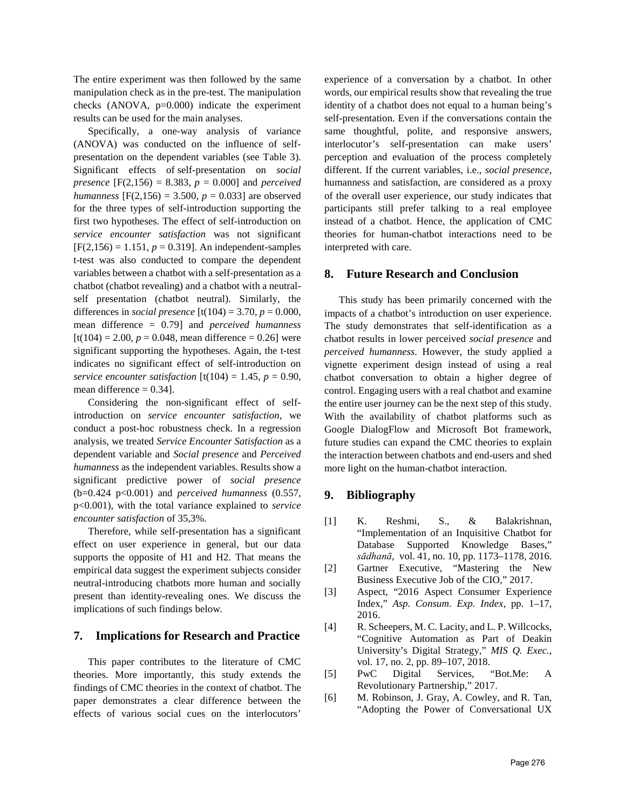The entire experiment was then followed by the same manipulation check as in the pre-test. The manipulation checks  $(ANOVA, p=0.000)$  indicate the experiment results can be used for the main analyses.

Specifically, a one-way analysis of variance (ANOVA) was conducted on the influence of selfpresentation on the dependent variables (see Table 3). Significant effects of self-presentation on *social presence* [F(2,156) = 8.383,  $p = 0.000$ ] and *perceived humanness*  $[F(2,156) = 3.500, p = 0.033]$  are observed for the three types of self-introduction supporting the first two hypotheses. The effect of self-introduction on *service encounter satisfaction* was not significant  $[F(2,156) = 1.151, p = 0.319]$ . An independent-samples t-test was also conducted to compare the dependent variables between a chatbot with a self-presentation as a chatbot (chatbot revealing) and a chatbot with a neutralself presentation (chatbot neutral). Similarly, the differences in *social presence*  $[t(104) = 3.70, p = 0.000,$ mean difference = 0.79] and *perceived humanness*  $[t(104) = 2.00, p = 0.048, \text{ mean difference} = 0.26]$  were significant supporting the hypotheses. Again, the t-test indicates no significant effect of self-introduction on *service encounter satisfaction*  $[t(104) = 1.45, p = 0.90,$ mean difference  $= 0.34$ .

Considering the non-significant effect of selfintroduction on *service encounter satisfaction*, we conduct a post-hoc robustness check. In a regression analysis, we treated *Service Encounter Satisfaction* as a dependent variable and *Social presence* and *Perceived humanness* as the independent variables. Results show a significant predictive power of *social presence* (b=0.424 p<0.001) and *perceived humanness* (0.557, p<0.001), with the total variance explained to *service encounter satisfaction* of 35,3%.

Therefore, while self-presentation has a significant effect on user experience in general, but our data supports the opposite of H1 and H2. That means the empirical data suggest the experiment subjects consider neutral-introducing chatbots more human and socially present than identity-revealing ones. We discuss the implications of such findings below.

# **7. Implications for Research and Practice**

This paper contributes to the literature of CMC theories. More importantly, this study extends the findings of CMC theories in the context of chatbot. The paper demonstrates a clear difference between the effects of various social cues on the interlocutors'

experience of a conversation by a chatbot. In other words, our empirical results show that revealing the true identity of a chatbot does not equal to a human being's self-presentation. Even if the conversations contain the same thoughtful, polite, and responsive answers, interlocutor's self-presentation can make users' perception and evaluation of the process completely different. If the current variables, i.e., *social presence*, humanness and satisfaction, are considered as a proxy of the overall user experience, our study indicates that participants still prefer talking to a real employee instead of a chatbot. Hence, the application of CMC theories for human-chatbot interactions need to be interpreted with care.

## **8. Future Research and Conclusion**

This study has been primarily concerned with the impacts of a chatbot's introduction on user experience. The study demonstrates that self-identification as a chatbot results in lower perceived *social presence* and *perceived humanness*. However, the study applied a vignette experiment design instead of using a real chatbot conversation to obtain a higher degree of control. Engaging users with a real chatbot and examine the entire user journey can be the next step of this study. With the availability of chatbot platforms such as Google DialogFlow and Microsoft Bot framework, future studies can expand the CMC theories to explain the interaction between chatbots and end-users and shed more light on the human-chatbot interaction.

# **9. Bibliography**

- [1] K. Reshmi, S., & Balakrishnan, "Implementation of an Inquisitive Chatbot for Database Supported Knowledge Bases," *sādhanā*, vol. 41, no. 10, pp. 1173–1178, 2016.
- [2] Gartner Executive, "Mastering the New Business Executive Job of the CIO," 2017.
- [3] Aspect, "2016 Aspect Consumer Experience Index," *Asp. Consum. Exp. Index*, pp. 1–17, 2016.
- [4] R. Scheepers, M. C. Lacity, and L. P. Willcocks, "Cognitive Automation as Part of Deakin University's Digital Strategy," *MIS Q. Exec.*, vol. 17, no. 2, pp. 89–107, 2018.
- [5] PwC Digital Services, "Bot.Me: A Revolutionary Partnership," 2017.
- [6] M. Robinson, J. Gray, A. Cowley, and R. Tan, "Adopting the Power of Conversational UX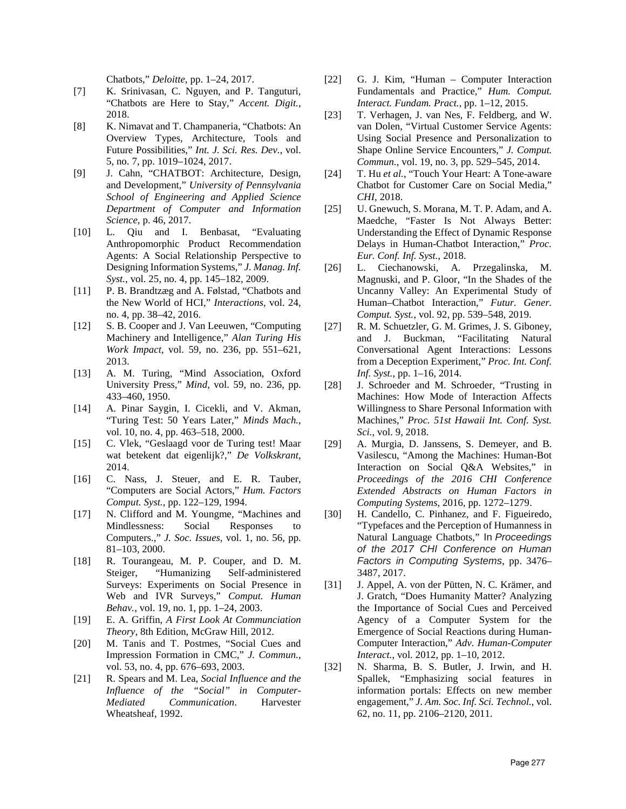Chatbots," *Deloitte*, pp. 1–24, 2017.

- [7] K. Srinivasan, C. Nguyen, and P. Tanguturi, "Chatbots are Here to Stay," *Accent. Digit.*, 2018.
- [8] K. Nimavat and T. Champaneria, "Chatbots: An Overview Types, Architecture, Tools and Future Possibilities," *Int. J. Sci. Res. Dev.*, vol. 5, no. 7, pp. 1019–1024, 2017.
- [9] J. Cahn, "CHATBOT: Architecture, Design, and Development," *University of Pennsylvania School of Engineering and Applied Science Department of Computer and Information Science*, p. 46, 2017.
- [10] L. Qiu and I. Benbasat, "Evaluating Anthropomorphic Product Recommendation Agents: A Social Relationship Perspective to Designing Information Systems," *J. Manag. Inf. Syst.*, vol. 25, no. 4, pp. 145–182, 2009.
- [11] P. B. Brandtzæg and A. Følstad, "Chatbots and the New World of HCI," *Interactions*, vol. 24, no. 4, pp. 38–42, 2016.
- [12] S. B. Cooper and J. Van Leeuwen, "Computing" Machinery and Intelligence," *Alan Turing His Work Impact*, vol. 59, no. 236, pp. 551–621, 2013.
- [13] A. M. Turing, "Mind Association, Oxford University Press," *Mind*, vol. 59, no. 236, pp. 433–460, 1950.
- [14] A. Pinar Saygin, I. Cicekli, and V. Akman, "Turing Test: 50 Years Later," *Minds Mach.*, vol. 10, no. 4, pp. 463–518, 2000.
- [15] C. Vlek, "Geslaagd voor de Turing test! Maar wat betekent dat eigenlijk?," *De Volkskrant*, 2014.
- [16] C. Nass, J. Steuer, and E. R. Tauber, "Computers are Social Actors," *Hum. Factors Comput. Syst.*, pp. 122–129, 1994.
- [17] N. Clifford and M. Youngme, "Machines and Mindlessness: Social Responses to Computers.," *J. Soc. Issues*, vol. 1, no. 56, pp. 81–103, 2000.
- [18] R. Tourangeau, M. P. Couper, and D. M. Steiger, "Humanizing Self-administered Surveys: Experiments on Social Presence in Web and IVR Surveys," *Comput. Human Behav.*, vol. 19, no. 1, pp. 1–24, 2003.
- [19] E. A. Griffin, *A First Look At Communciation Theory*, 8th Edition, McGraw Hill, 2012.
- [20] M. Tanis and T. Postmes, "Social Cues and Impression Formation in CMC," *J. Commun.*, vol. 53, no. 4, pp. 676–693, 2003.
- [21] R. Spears and M. Lea, *Social Influence and the Influence of the "Social" in Computer-Mediated Communication*. Harvester Wheatsheaf, 1992.
- [22] G. J. Kim, "Human Computer Interaction Fundamentals and Practice," *Hum. Comput. Interact. Fundam. Pract.*, pp. 1–12, 2015.
- [23] T. Verhagen, J. van Nes, F. Feldberg, and W. van Dolen, "Virtual Customer Service Agents: Using Social Presence and Personalization to Shape Online Service Encounters," *J. Comput. Commun.*, vol. 19, no. 3, pp. 529–545, 2014.
- [24] T. Hu *et al.*, "Touch Your Heart: A Tone-aware Chatbot for Customer Care on Social Media," *CHI*, 2018.
- [25] U. Gnewuch, S. Morana, M. T. P. Adam, and A. Maedche, "Faster Is Not Always Better: Understanding the Effect of Dynamic Response Delays in Human-Chatbot Interaction," *Proc. Eur. Conf. Inf. Syst.*, 2018.
- [26] L. Ciechanowski, A. Przegalinska, M. Magnuski, and P. Gloor, "In the Shades of the Uncanny Valley: An Experimental Study of Human–Chatbot Interaction," *Futur. Gener. Comput. Syst.*, vol. 92, pp. 539–548, 2019.
- [27] R. M. Schuetzler, G. M. Grimes, J. S. Giboney, and J. Buckman, "Facilitating Natural Conversational Agent Interactions: Lessons from a Deception Experiment," *Proc. Int. Conf. Inf. Syst.*, pp. 1–16, 2014.
- [28] J. Schroeder and M. Schroeder, "Trusting in Machines: How Mode of Interaction Affects Willingness to Share Personal Information with Machines," *Proc. 51st Hawaii Int. Conf. Syst. Sci.*, vol. 9, 2018.
- [29] A. Murgia, D. Janssens, S. Demeyer, and B. Vasilescu, "Among the Machines: Human-Bot Interaction on Social Q&A Websites," in *Proceedings of the 2016 CHI Conference Extended Abstracts on Human Factors in Computing Systems*, 2016, pp. 1272–1279.
- [30] H. Candello, C. Pinhanez, and F. Figueiredo, "Typefaces and the Perception of Humanness in Natural Language Chatbots," In *Proceedings of the 2017 CHI Conference on Human Factors in Computing Systems*, pp. 3476– 3487, 2017.
- [31] J. Appel, A. von der Pütten, N. C. Krämer, and J. Gratch, "Does Humanity Matter? Analyzing the Importance of Social Cues and Perceived Agency of a Computer System for the Emergence of Social Reactions during Human-Computer Interaction," *Adv. Human-Computer Interact.*, vol. 2012, pp. 1–10, 2012.
- [32] N. Sharma, B. S. Butler, J. Irwin, and H. Spallek, "Emphasizing social features in information portals: Effects on new member engagement," *J. Am. Soc. Inf. Sci. Technol.*, vol. 62, no. 11, pp. 2106–2120, 2011.